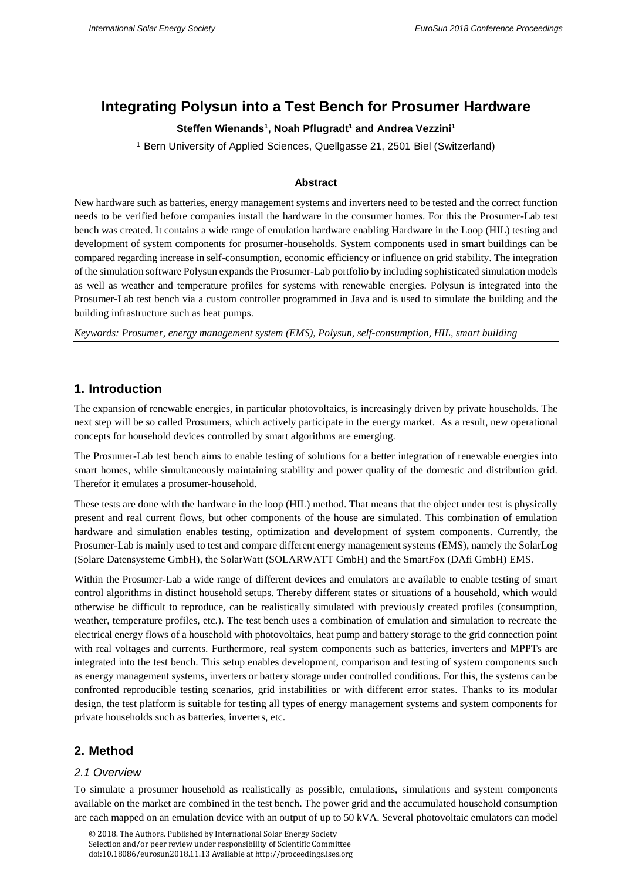# **Integrating Polysun into a Test Bench for Prosumer Hardware**

### **Steffen Wienands<sup>1</sup> , Noah Pflugradt<sup>1</sup> and Andrea Vezzini<sup>1</sup>**

<sup>1</sup> Bern University of Applied Sciences, Quellgasse 21, 2501 Biel (Switzerland)

#### **Abstract**

New hardware such as batteries, energy management systems and inverters need to be tested and the correct function needs to be verified before companies install the hardware in the consumer homes. For this the Prosumer-Lab test bench was created. It contains a wide range of emulation hardware enabling Hardware in the Loop (HIL) testing and development of system components for prosumer-households. System components used in smart buildings can be compared regarding increase in self-consumption, economic efficiency or influence on grid stability. The integration of the simulation software Polysun expands the Prosumer-Lab portfolio by including sophisticated simulation models as well as weather and temperature profiles for systems with renewable energies. Polysun is integrated into the Prosumer-Lab test bench via a custom controller programmed in Java and is used to simulate the building and the building infrastructure such as heat pumps.

*Keywords: Prosumer, energy management system (EMS), Polysun, self-consumption, HIL, smart building* 

### **1. Introduction**

The expansion of renewable energies, in particular photovoltaics, is increasingly driven by private households. The next step will be so called Prosumers, which actively participate in the energy market. As a result, new operational concepts for household devices controlled by smart algorithms are emerging.

The Prosumer-Lab test bench aims to enable testing of solutions for a better integration of renewable energies into smart homes, while simultaneously maintaining stability and power quality of the domestic and distribution grid. Therefor it emulates a prosumer-household.

These tests are done with the hardware in the loop (HIL) method. That means that the object under test is physically present and real current flows, but other components of the house are simulated. This combination of emulation hardware and simulation enables testing, optimization and development of system components. Currently, the Prosumer-Lab is mainly used to test and compare different energy management systems (EMS), namely the SolarLog (Solare Datensysteme GmbH), the SolarWatt (SOLARWATT GmbH) and the SmartFox (DAfi GmbH) EMS.

Within the Prosumer-Lab a wide range of different devices and emulators are available to enable testing of smart control algorithms in distinct household setups. Thereby different states or situations of a household, which would otherwise be difficult to reproduce, can be realistically simulated with previously created profiles (consumption, weather, temperature profiles, etc.). The test bench uses a combination of emulation and simulation to recreate the electrical energy flows of a household with photovoltaics, heat pump and battery storage to the grid connection point with real voltages and currents. Furthermore, real system components such as batteries, inverters and MPPTs are integrated into the test bench. This setup enables development, comparison and testing of system components such as energy management systems, inverters or battery storage under controlled conditions. For this, the systems can be confronted reproducible testing scenarios, grid instabilities or with different error states. Thanks to its modular design, the test platform is suitable for testing all types of energy management systems and system components for private households such as batteries, inverters, etc.

### **2. Method**

### *2.1 Overview*

To simulate a prosumer household as realistically as possible, emulations, simulations and system components available on the market are combined in the test bench. The power grid and the accumulated household consumption are each mapped on an emulation device with an output of up to 50 kVA. Several photovoltaic emulators can model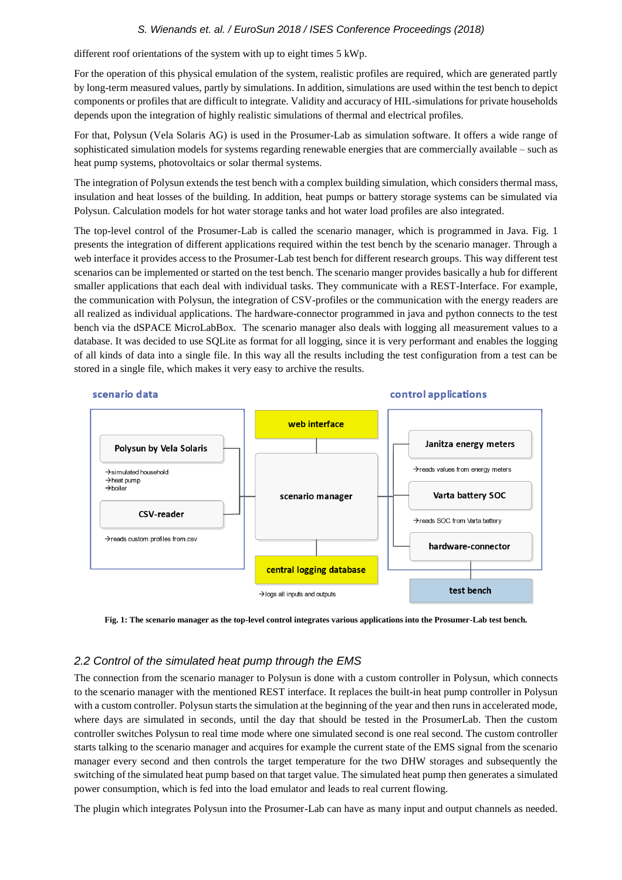different roof orientations of the system with up to eight times 5 kWp.

For the operation of this physical emulation of the system, realistic profiles are required, which are generated partly by long-term measured values, partly by simulations. In addition, simulations are used within the test bench to depict components or profiles that are difficult to integrate. Validity and accuracy of HIL-simulations for private households depends upon the integration of highly realistic simulations of thermal and electrical profiles.

For that, Polysun (Vela Solaris AG) is used in the Prosumer-Lab as simulation software. It offers a wide range of sophisticated simulation models for systems regarding renewable energies that are commercially available – such as heat pump systems, photovoltaics or solar thermal systems.

The integration of Polysun extends the test bench with a complex building simulation, which considers thermal mass, insulation and heat losses of the building. In addition, heat pumps or battery storage systems can be simulated via Polysun. Calculation models for hot water storage tanks and hot water load profiles are also integrated.

The top-level control of the Prosumer-Lab is called the scenario manager, which is programmed in Java. Fig. 1 presents the integration of different applications required within the test bench by the scenario manager. Through a web interface it provides access to the Prosumer-Lab test bench for different research groups. This way different test scenarios can be implemented or started on the test bench. The scenario manger provides basically a hub for different smaller applications that each deal with individual tasks. They communicate with a REST-Interface. For example, the communication with Polysun, the integration of CSV-profiles or the communication with the energy readers are all realized as individual applications. The hardware-connector programmed in java and python connects to the test bench via the dSPACE MicroLabBox. The scenario manager also deals with logging all measurement values to a database. It was decided to use SQLite as format for all logging, since it is very performant and enables the logging of all kinds of data into a single file. In this way all the results including the test configuration from a test can be stored in a single file, which makes it very easy to archive the results.



**Fig. 1: The scenario manager as the top-level control integrates various applications into the Prosumer-Lab test bench.**

### *2.2 Control of the simulated heat pump through the EMS*

The connection from the scenario manager to Polysun is done with a custom controller in Polysun, which connects to the scenario manager with the mentioned REST interface. It replaces the built-in heat pump controller in Polysun with a custom controller. Polysun starts the simulation at the beginning of the year and then runs in accelerated mode, where days are simulated in seconds, until the day that should be tested in the ProsumerLab. Then the custom controller switches Polysun to real time mode where one simulated second is one real second. The custom controller starts talking to the scenario manager and acquires for example the current state of the EMS signal from the scenario manager every second and then controls the target temperature for the two DHW storages and subsequently the switching of the simulated heat pump based on that target value. The simulated heat pump then generates a simulated power consumption, which is fed into the load emulator and leads to real current flowing.

The plugin which integrates Polysun into the Prosumer-Lab can have as many input and output channels as needed.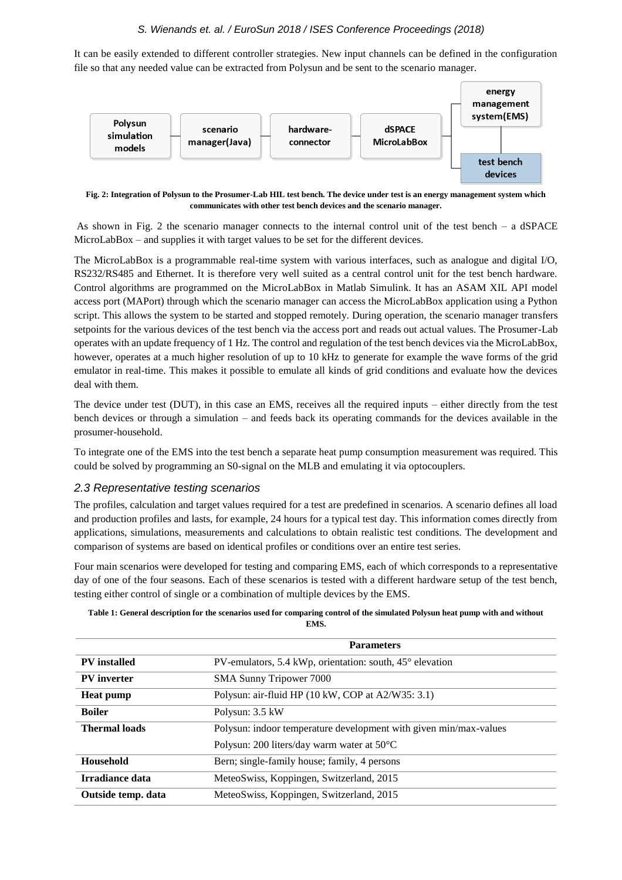It can be easily extended to different controller strategies. New input channels can be defined in the configuration file so that any needed value can be extracted from Polysun and be sent to the scenario manager.



**Fig. 2: Integration of Polysun to the Prosumer-Lab HIL test bench. The device under test is an energy management system which communicates with other test bench devices and the scenario manager.**

As shown in Fig. 2 the scenario manager connects to the internal control unit of the test bench – a dSPACE MicroLabBox – and supplies it with target values to be set for the different devices.

The MicroLabBox is a programmable real-time system with various interfaces, such as analogue and digital I/O, RS232/RS485 and Ethernet. It is therefore very well suited as a central control unit for the test bench hardware. Control algorithms are programmed on the MicroLabBox in Matlab Simulink. It has an ASAM XIL API model access port (MAPort) through which the scenario manager can access the MicroLabBox application using a Python script. This allows the system to be started and stopped remotely. During operation, the scenario manager transfers setpoints for the various devices of the test bench via the access port and reads out actual values. The Prosumer-Lab operates with an update frequency of 1 Hz. The control and regulation of the test bench devices via the MicroLabBox, however, operates at a much higher resolution of up to 10 kHz to generate for example the wave forms of the grid emulator in real-time. This makes it possible to emulate all kinds of grid conditions and evaluate how the devices deal with them.

The device under test (DUT), in this case an EMS, receives all the required inputs – either directly from the test bench devices or through a simulation – and feeds back its operating commands for the devices available in the prosumer-household.

To integrate one of the EMS into the test bench a separate heat pump consumption measurement was required. This could be solved by programming an S0-signal on the MLB and emulating it via optocouplers.

#### *2.3 Representative testing scenarios*

The profiles, calculation and target values required for a test are predefined in scenarios. A scenario defines all load and production profiles and lasts, for example, 24 hours for a typical test day. This information comes directly from applications, simulations, measurements and calculations to obtain realistic test conditions. The development and comparison of systems are based on identical profiles or conditions over an entire test series.

Four main scenarios were developed for testing and comparing EMS, each of which corresponds to a representative day of one of the four seasons. Each of these scenarios is tested with a different hardware setup of the test bench, testing either control of single or a combination of multiple devices by the EMS.

| Table 1: General description for the scenarios used for comparing control of the simulated Polysun heat pump with and without |
|-------------------------------------------------------------------------------------------------------------------------------|
| EMS.                                                                                                                          |

|                      | <b>Parameters</b>                                                 |
|----------------------|-------------------------------------------------------------------|
| <b>PV</b> installed  | PV-emulators, 5.4 kWp, orientation: south, 45° elevation          |
| <b>PV</b> inverter   | <b>SMA Sunny Tripower 7000</b>                                    |
| <b>Heat pump</b>     | Polysun: air-fluid HP (10 kW, COP at A2/W35: 3.1)                 |
| <b>Boiler</b>        | Polysun: 3.5 kW                                                   |
| <b>Thermal loads</b> | Polysun: indoor temperature development with given min/max-values |
|                      | Polysun: 200 liters/day warm water at 50°C                        |
| Household            | Bern; single-family house; family, 4 persons                      |
| Irradiance data      | MeteoSwiss, Koppingen, Switzerland, 2015                          |
| Outside temp. data   | MeteoSwiss, Koppingen, Switzerland, 2015                          |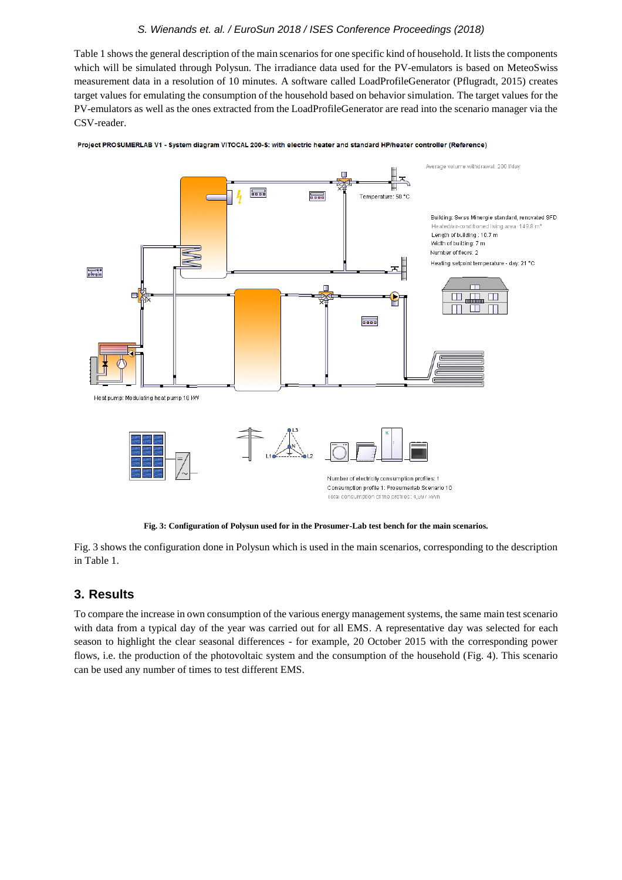Table 1 shows the general description of the main scenarios for one specific kind of household. It lists the components which will be simulated through Polysun. The irradiance data used for the PV-emulators is based on MeteoSwiss measurement data in a resolution of 10 minutes. A software called LoadProfileGenerator (Pflugradt, 2015) creates target values for emulating the consumption of the household based on behavior simulation. The target values for the PV-emulators as well as the ones extracted from the LoadProfileGenerator are read into the scenario manager via the CSV-reader.



Project PROSUMERLAB V1 - System diagram VITOCAL 200-S: with electric heater and standard HP/heater controller (Reference)

**Fig. 3: Configuration of Polysun used for in the Prosumer-Lab test bench for the main scenarios.** 

Fig. 3 shows the configuration done in Polysun which is used in the main scenarios, corresponding to the description in Table 1.

# **3. Results**

To compare the increase in own consumption of the various energy management systems, the same main test scenario with data from a typical day of the year was carried out for all EMS. A representative day was selected for each season to highlight the clear seasonal differences - for example, 20 October 2015 with the corresponding power flows, i.e. the production of the photovoltaic system and the consumption of the household (Fig. 4). This scenario can be used any number of times to test different EMS.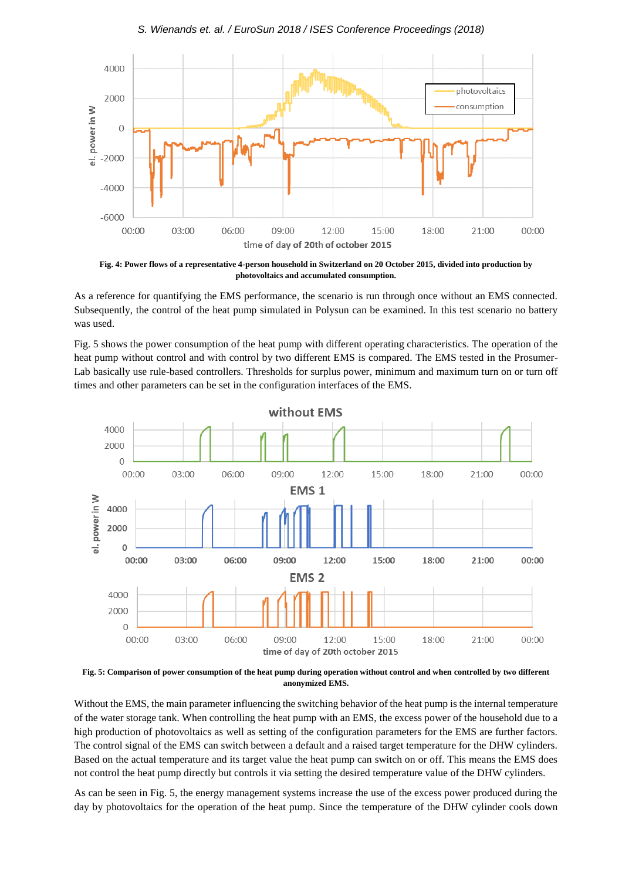

**Fig. 4: Power flows of a representative 4-person household in Switzerland on 20 October 2015, divided into production by photovoltaics and accumulated consumption.**

As a reference for quantifying the EMS performance, the scenario is run through once without an EMS connected. Subsequently, the control of the heat pump simulated in Polysun can be examined. In this test scenario no battery was used.

Fig. 5 shows the power consumption of the heat pump with different operating characteristics. The operation of the heat pump without control and with control by two different EMS is compared. The EMS tested in the Prosumer-Lab basically use rule-based controllers. Thresholds for surplus power, minimum and maximum turn on or turn off times and other parameters can be set in the configuration interfaces of the EMS.



**Fig. 5: Comparison of power consumption of the heat pump during operation without control and when controlled by two different anonymized EMS.**

Without the EMS, the main parameter influencing the switching behavior of the heat pump is the internal temperature of the water storage tank. When controlling the heat pump with an EMS, the excess power of the household due to a high production of photovoltaics as well as setting of the configuration parameters for the EMS are further factors. The control signal of the EMS can switch between a default and a raised target temperature for the DHW cylinders. Based on the actual temperature and its target value the heat pump can switch on or off. This means the EMS does not control the heat pump directly but controls it via setting the desired temperature value of the DHW cylinders.

As can be seen in Fig. 5, the energy management systems increase the use of the excess power produced during the day by photovoltaics for the operation of the heat pump. Since the temperature of the DHW cylinder cools down